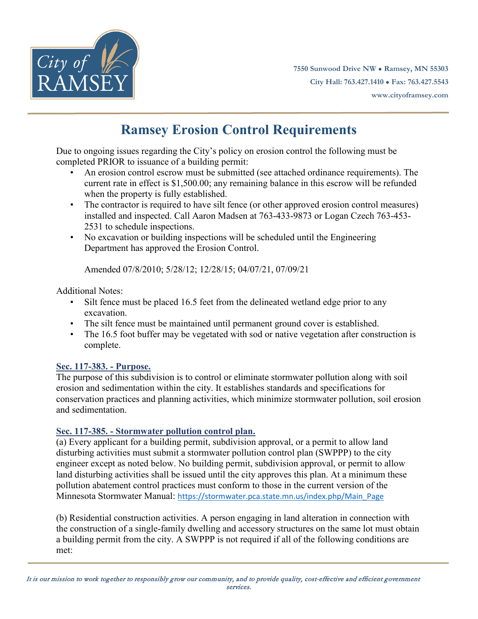

**7550 Sunwood Drive NW ● Ramsey, MN 55303 City Hall: 763.427.1410 ● Fax: 763.427.5543 www.cityoframsey.com**

# **Ramsey Erosion Control Requirements**

Due to ongoing issues regarding the City's policy on erosion control the following must be completed PRIOR to issuance of a building permit:

- An erosion control escrow must be submitted (see attached ordinance requirements). The current rate in effect is \$1,500.00; any remaining balance in this escrow will be refunded when the property is fully established.
- The contractor is required to have silt fence (or other approved erosion control measures) installed and inspected. Call Aaron Madsen at 763-433-9873 or Logan Czech 763-453- 2531 to schedule inspections.
- No excavation or building inspections will be scheduled until the Engineering Department has approved the Erosion Control.

Amended 07/8/2010; 5/28/12; 12/28/15; 04/07/21, 07/09/21

Additional Notes:

- Silt fence must be placed 16.5 feet from the delineated wetland edge prior to any excavation.
- The silt fence must be maintained until permanent ground cover is established.
- The 16.5 foot buffer may be vegetated with sod or native vegetation after construction is complete.

# **Sec. 117-383. - Purpose.**

The purpose of this subdivision is to control or eliminate stormwater pollution along with soil erosion and sedimentation within the city. It establishes standards and specifications for conservation practices and planning activities, which minimize stormwater pollution, soil erosion and sedimentation.

# **Sec. 117-385. - Stormwater pollution control plan.**

(a) Every applicant for a building permit, subdivision approval, or a permit to allow land disturbing activities must submit a stormwater pollution control plan (SWPPP) to the city engineer except as noted below. No building permit, subdivision approval, or permit to allow land disturbing activities shall be issued until the city approves this plan. At a minimum these pollution abatement control practices must conform to those in the current version of the Minnesota Stormwater Manual: [https://stormwater.pca.state.mn.us/index.php/Main\\_Page](https://stormwater.pca.state.mn.us/index.php/Main_Page)

(b) Residential construction activities. A person engaging in land alteration in connection with the construction of a single-family dwelling and accessory structures on the same lot must obtain a building permit from the city. A SWPPP is not required if all of the following conditions are met: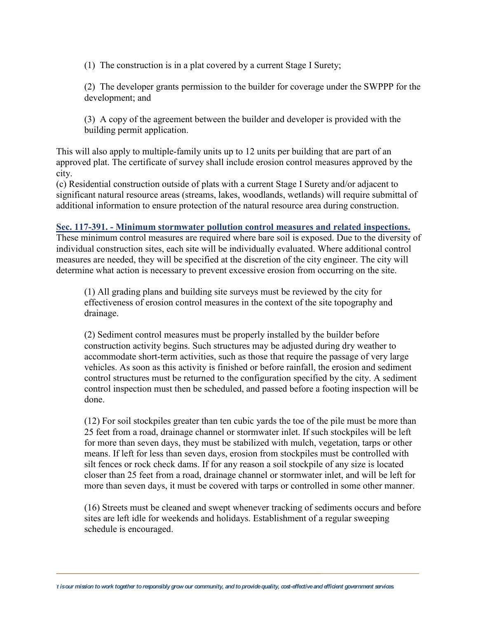(1) The construction is in a plat covered by a current Stage I Surety;

(2) The developer grants permission to the builder for coverage under the SWPPP for the development; and

(3) A copy of the agreement between the builder and developer is provided with the building permit application.

This will also apply to multiple-family units up to 12 units per building that are part of an approved plat. The certificate of survey shall include erosion control measures approved by the city.

(c) Residential construction outside of plats with a current Stage I Surety and/or adjacent to significant natural resource areas (streams, lakes, woodlands, wetlands) will require submittal of additional information to ensure protection of the natural resource area during construction.

#### **Sec. 117-391. - Minimum stormwater pollution control measures and related inspections.**

These minimum control measures are required where bare soil is exposed. Due to the diversity of individual construction sites, each site will be individually evaluated. Where additional control measures are needed, they will be specified at the discretion of the city engineer. The city will determine what action is necessary to prevent excessive erosion from occurring on the site.

(1) All grading plans and building site surveys must be reviewed by the city for effectiveness of erosion control measures in the context of the site topography and drainage.

(2) Sediment control measures must be properly installed by the builder before construction activity begins. Such structures may be adjusted during dry weather to accommodate short-term activities, such as those that require the passage of very large vehicles. As soon as this activity is finished or before rainfall, the erosion and sediment control structures must be returned to the configuration specified by the city. A sediment control inspection must then be scheduled, and passed before a footing inspection will be done.

(12) For soil stockpiles greater than ten cubic yards the toe of the pile must be more than 25 feet from a road, drainage channel or stormwater inlet. If such stockpiles will be left for more than seven days, they must be stabilized with mulch, vegetation, tarps or other means. If left for less than seven days, erosion from stockpiles must be controlled with silt fences or rock check dams. If for any reason a soil stockpile of any size is located closer than 25 feet from a road, drainage channel or stormwater inlet, and will be left for more than seven days, it must be covered with tarps or controlled in some other manner.

(16) Streets must be cleaned and swept whenever tracking of sediments occurs and before sites are left idle for weekends and holidays. Establishment of a regular sweeping schedule is encouraged.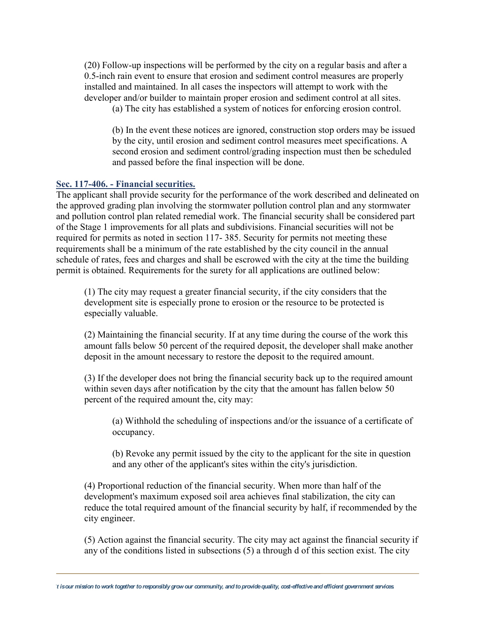(20) Follow-up inspections will be performed by the city on a regular basis and after a 0.5-inch rain event to ensure that erosion and sediment control measures are properly installed and maintained. In all cases the inspectors will attempt to work with the developer and/or builder to maintain proper erosion and sediment control at all sites.

(a) The city has established a system of notices for enforcing erosion control.

(b) In the event these notices are ignored, construction stop orders may be issued by the city, until erosion and sediment control measures meet specifications. A second erosion and sediment control/grading inspection must then be scheduled and passed before the final inspection will be done.

#### **Sec. 117-406. - Financial securities.**

The applicant shall provide security for the performance of the work described and delineated on the approved grading plan involving the stormwater pollution control plan and any stormwater and pollution control plan related remedial work. The financial security shall be considered part of the Stage 1 improvements for all plats and subdivisions. Financial securities will not be required for permits as noted in section 117- 385. Security for permits not meeting these requirements shall be a minimum of the rate established by the city council in the annual schedule of rates, fees and charges and shall be escrowed with the city at the time the building permit is obtained. Requirements for the surety for all applications are outlined below:

(1) The city may request a greater financial security, if the city considers that the development site is especially prone to erosion or the resource to be protected is especially valuable.

(2) Maintaining the financial security. If at any time during the course of the work this amount falls below 50 percent of the required deposit, the developer shall make another deposit in the amount necessary to restore the deposit to the required amount.

(3) If the developer does not bring the financial security back up to the required amount within seven days after notification by the city that the amount has fallen below 50 percent of the required amount the, city may:

(a) Withhold the scheduling of inspections and/or the issuance of a certificate of occupancy.

(b) Revoke any permit issued by the city to the applicant for the site in question and any other of the applicant's sites within the city's jurisdiction.

(4) Proportional reduction of the financial security. When more than half of the development's maximum exposed soil area achieves final stabilization, the city can reduce the total required amount of the financial security by half, if recommended by the city engineer.

(5) Action against the financial security. The city may act against the financial security if any of the conditions listed in subsections (5) a through d of this section exist. The city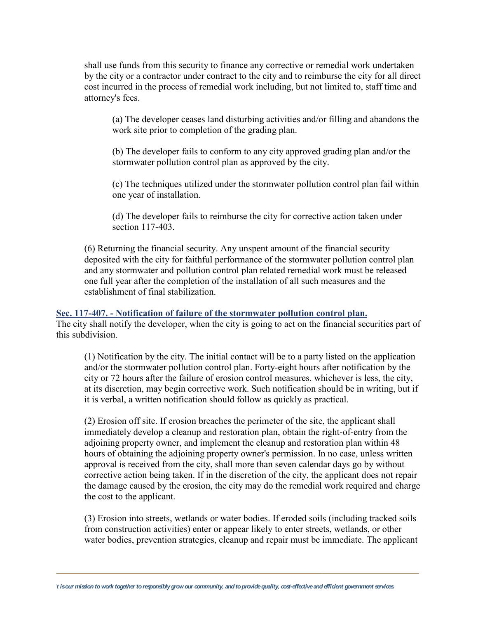shall use funds from this security to finance any corrective or remedial work undertaken by the city or a contractor under contract to the city and to reimburse the city for all direct cost incurred in the process of remedial work including, but not limited to, staff time and attorney's fees.

(a) The developer ceases land disturbing activities and/or filling and abandons the work site prior to completion of the grading plan.

(b) The developer fails to conform to any city approved grading plan and/or the stormwater pollution control plan as approved by the city.

(c) The techniques utilized under the stormwater pollution control plan fail within one year of installation.

(d) The developer fails to reimburse the city for corrective action taken under section 117-403.

(6) Returning the financial security. Any unspent amount of the financial security deposited with the city for faithful performance of the stormwater pollution control plan and any stormwater and pollution control plan related remedial work must be released one full year after the completion of the installation of all such measures and the establishment of final stabilization.

# **Sec. 117-407. - Notification of failure of the stormwater pollution control plan.**

The city shall notify the developer, when the city is going to act on the financial securities part of this subdivision.

(1) Notification by the city. The initial contact will be to a party listed on the application and/or the stormwater pollution control plan. Forty-eight hours after notification by the city or 72 hours after the failure of erosion control measures, whichever is less, the city, at its discretion, may begin corrective work. Such notification should be in writing, but if it is verbal, a written notification should follow as quickly as practical.

(2) Erosion off site. If erosion breaches the perimeter of the site, the applicant shall immediately develop a cleanup and restoration plan, obtain the right-of-entry from the adjoining property owner, and implement the cleanup and restoration plan within 48 hours of obtaining the adjoining property owner's permission. In no case, unless written approval is received from the city, shall more than seven calendar days go by without corrective action being taken. If in the discretion of the city, the applicant does not repair the damage caused by the erosion, the city may do the remedial work required and charge the cost to the applicant.

(3) Erosion into streets, wetlands or water bodies. If eroded soils (including tracked soils from construction activities) enter or appear likely to enter streets, wetlands, or other water bodies, prevention strategies, cleanup and repair must be immediate. The applicant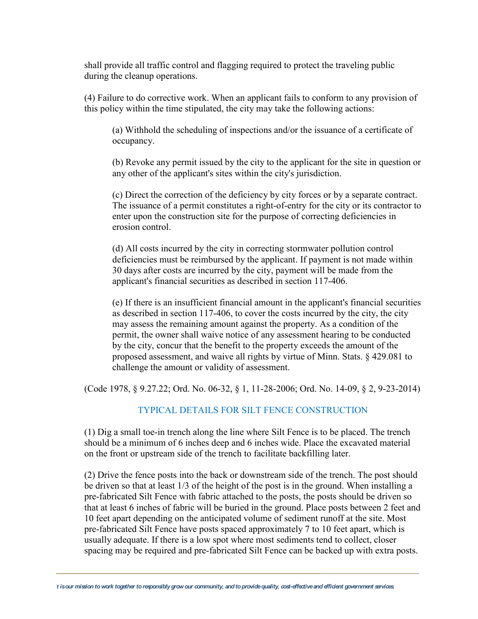shall provide all traffic control and flagging required to protect the traveling public during the cleanup operations.

(4) Failure to do corrective work. When an applicant fails to conform to any provision of this policy within the time stipulated, the city may take the following actions:

(a) Withhold the scheduling of inspections and/or the issuance of a certificate of occupancy.

(b) Revoke any permit issued by the city to the applicant for the site in question or any other of the applicant's sites within the city's jurisdiction.

(c) Direct the correction of the deficiency by city forces or by a separate contract. The issuance of a permit constitutes a right-of-entry for the city or its contractor to enter upon the construction site for the purpose of correcting deficiencies in erosion control.

(d) All costs incurred by the city in correcting stormwater pollution control deficiencies must be reimbursed by the applicant. If payment is not made within 30 days after costs are incurred by the city, payment will be made from the applicant's financial securities as described in section 117-406.

(e) If there is an insufficient financial amount in the applicant's financial securities as described in section 117-406, to cover the costs incurred by the city, the city may assess the remaining amount against the property. As a condition of the permit, the owner shall waive notice of any assessment hearing to be conducted by the city, concur that the benefit to the property exceeds the amount of the proposed assessment, and waive all rights by virtue of Minn. Stats. § 429.081 to challenge the amount or validity of assessment.

(Code 1978, § 9.27.22; Ord. No. 06-32, § 1, 11-28-2006; Ord. No. 14-09, § 2, 9-23-2014)

### TYPICAL DETAILS FOR SILT FENCE CONSTRUCTION

(1) Dig a small toe-in trench along the line where Silt Fence is to be placed. The trench should be a minimum of 6 inches deep and 6 inches wide. Place the excavated material on the front or upstream side of the trench to facilitate backfilling later.

(2) Drive the fence posts into the back or downstream side of the trench. The post should be driven so that at least 1/3 of the height of the post is in the ground. When installing a pre-fabricated Silt Fence with fabric attached to the posts, the posts should be driven so that at least 6 inches of fabric will be buried in the ground. Place posts between 2 feet and 10 feet apart depending on the anticipated volume of sediment runoff at the site. Most pre-fabricated Silt Fence have posts spaced approximately 7 to 10 feet apart, which is usually adequate. If there is a low spot where most sediments tend to collect, closer spacing may be required and pre-fabricated Silt Fence can be backed up with extra posts.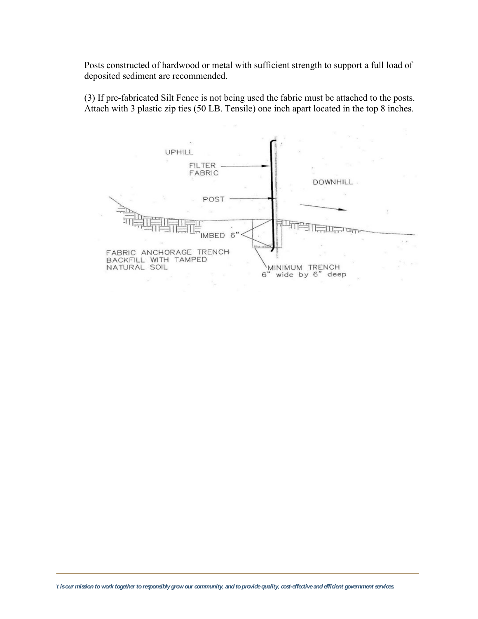Posts constructed of hardwood or metal with sufficient strength to support a full load of deposited sediment are recommended.

(3) If pre-fabricated Silt Fence is not being used the fabric must be attached to the posts. Attach with 3 plastic zip ties (50 LB. Tensile) one inch apart located in the top 8 inches.